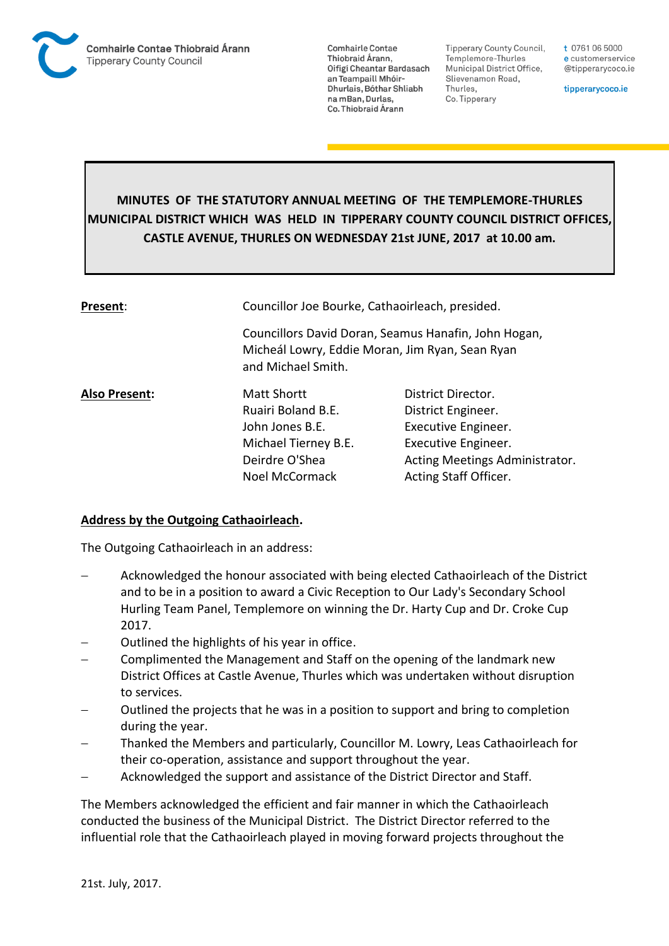

**Comhairle Contae** Thiobraid Árann. Oifigí Cheantar Bardasach an Teampaill Mhóir-Dhurlais, Bóthar Shliabh na mBan, Durlas. Co. Thiobraid Árann

**Tipperary County Council,** Templemore-Thurles Municipal District Office, Slievenamon Road, Thurles, Co. Tipperary

t 0761 06 5000 e customerservice @tipperarycoco.ie

tipperarycoco.ie

# **MINUTES OF THE STATUTORY ANNUAL MEETING OF THE TEMPLEMORE-THURLES MUNICIPAL DISTRICT WHICH WAS HELD IN TIPPERARY COUNTY COUNCIL DISTRICT OFFICES, CASTLE AVENUE, THURLES ON WEDNESDAY 21st JUNE, 2017 at 10.00 am.**

| Present:             | Councillor Joe Bourke, Cathaoirleach, presided.                                                                               |                                |
|----------------------|-------------------------------------------------------------------------------------------------------------------------------|--------------------------------|
|                      | Councillors David Doran, Seamus Hanafin, John Hogan,<br>Micheál Lowry, Eddie Moran, Jim Ryan, Sean Ryan<br>and Michael Smith. |                                |
| <b>Also Present:</b> | <b>Matt Shortt</b>                                                                                                            | District Director.             |
|                      | Ruairi Boland B.E.                                                                                                            | District Engineer.             |
|                      | John Jones B.E.                                                                                                               | Executive Engineer.            |
|                      | Michael Tierney B.E.                                                                                                          | Executive Engineer.            |
|                      | Deirdre O'Shea                                                                                                                | Acting Meetings Administrator. |
|                      | <b>Noel McCormack</b>                                                                                                         | Acting Staff Officer.          |
|                      |                                                                                                                               |                                |

#### **Address by the Outgoing Cathaoirleach.**

The Outgoing Cathaoirleach in an address:

- Acknowledged the honour associated with being elected Cathaoirleach of the District and to be in a position to award a Civic Reception to Our Lady's Secondary School Hurling Team Panel, Templemore on winning the Dr. Harty Cup and Dr. Croke Cup 2017.
- Outlined the highlights of his year in office.
- Complimented the Management and Staff on the opening of the landmark new District Offices at Castle Avenue, Thurles which was undertaken without disruption to services.
- Outlined the projects that he was in a position to support and bring to completion during the year.
- Thanked the Members and particularly, Councillor M. Lowry, Leas Cathaoirleach for their co-operation, assistance and support throughout the year.
- Acknowledged the support and assistance of the District Director and Staff.

The Members acknowledged the efficient and fair manner in which the Cathaoirleach conducted the business of the Municipal District. The District Director referred to the influential role that the Cathaoirleach played in moving forward projects throughout the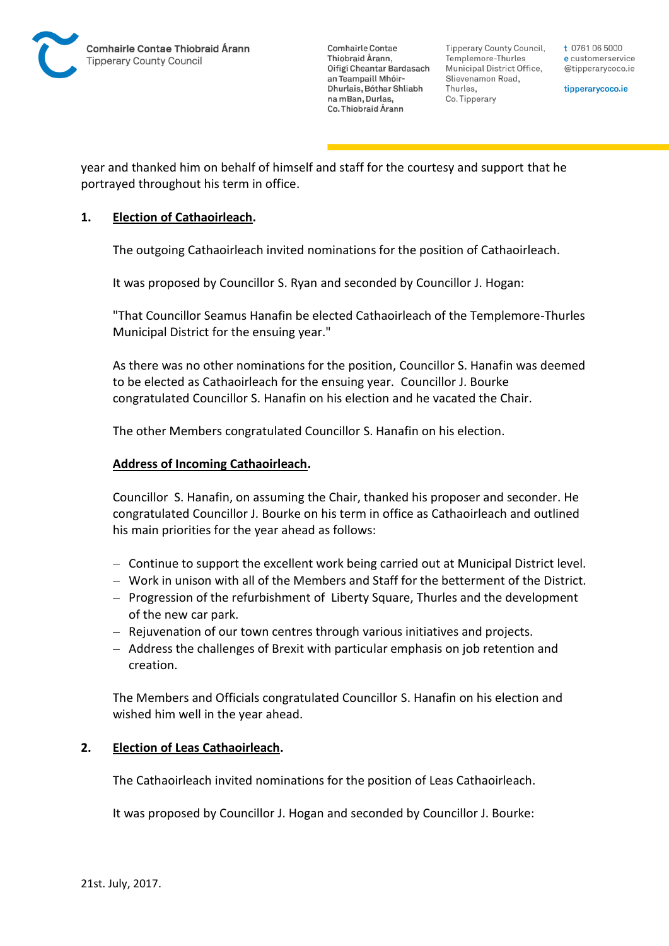

**Comhairle Contae** Thiobraid Árann. Oifigí Cheantar Bardasach an Teampaill Mhóir-Dhurlais, Bóthar Shliabh na mBan, Durlas. Co. Thiobraid Árann

Tipperary County Council. Templemore-Thurles Municipal District Office, Slievenamon Road, Thurles, Co. Tipperary

t 0761 06 5000 e customerservice @tipperarycoco.ie

tipperarycoco.ie

year and thanked him on behalf of himself and staff for the courtesy and support that he portrayed throughout his term in office.

### **1. Election of Cathaoirleach.**

The outgoing Cathaoirleach invited nominations for the position of Cathaoirleach.

It was proposed by Councillor S. Ryan and seconded by Councillor J. Hogan:

"That Councillor Seamus Hanafin be elected Cathaoirleach of the Templemore-Thurles Municipal District for the ensuing year."

As there was no other nominations for the position, Councillor S. Hanafin was deemed to be elected as Cathaoirleach for the ensuing year. Councillor J. Bourke congratulated Councillor S. Hanafin on his election and he vacated the Chair.

The other Members congratulated Councillor S. Hanafin on his election.

#### **Address of Incoming Cathaoirleach.**

Councillor S. Hanafin, on assuming the Chair, thanked his proposer and seconder. He congratulated Councillor J. Bourke on his term in office as Cathaoirleach and outlined his main priorities for the year ahead as follows:

- Continue to support the excellent work being carried out at Municipal District level.
- Work in unison with all of the Members and Staff for the betterment of the District.
- $P$  Progression of the refurbishment of Liberty Square, Thurles and the development of the new car park.
- Rejuvenation of our town centres through various initiatives and projects.
- Address the challenges of Brexit with particular emphasis on job retention and creation.

The Members and Officials congratulated Councillor S. Hanafin on his election and wished him well in the year ahead.

## **2. Election of Leas Cathaoirleach.**

The Cathaoirleach invited nominations for the position of Leas Cathaoirleach.

It was proposed by Councillor J. Hogan and seconded by Councillor J. Bourke: